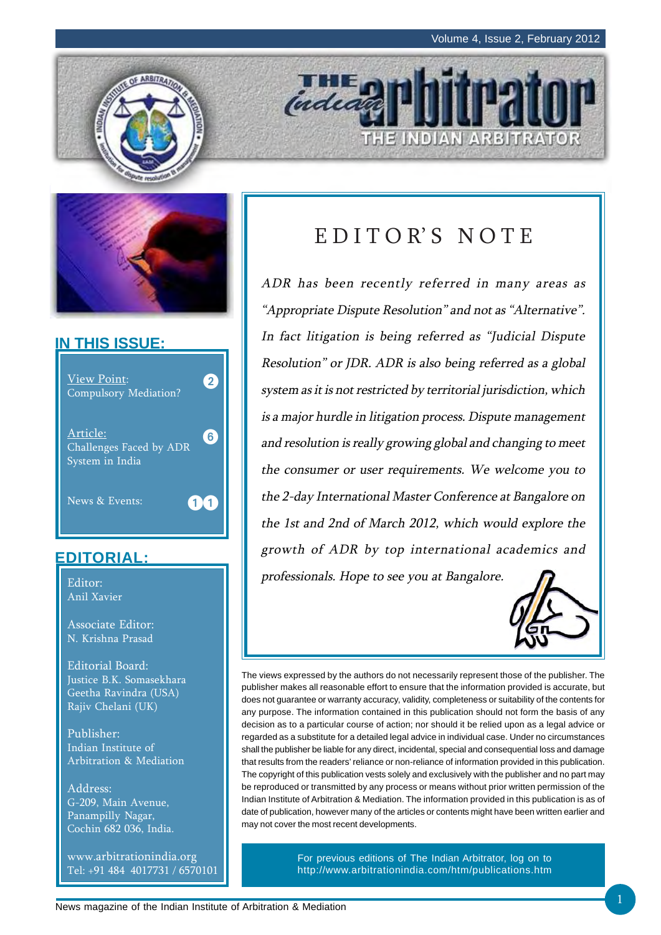THE INDIAN ARBITRATOR



### **IN THIS ISSUE:**



## **EDITORIAL:**

Editor: Anil Xavier

Associate Editor: N. Krishna Prasad

Editorial Board: Justice B.K. Somasekhara Geetha Ravindra (USA) Rajiv Chelani (UK)

Publisher: Indian Institute of Arbitration & Mediation

Address: G-209, Main Avenue, Panampilly Nagar, Cochin 682 036, India.

www.arbitrationindia.org Tel: +91 484 4017731 / 6570101

# EDITOR'S NOTE

**THE D** 

ADR has been recently referred in many areas as "Appropriate Dispute Resolution" and not as "Alternative". In fact litigation is being referred as "Judicial Dispute Resolution" or JDR. ADR is also being referred as a global system as it is not restricted by territorial jurisdiction, which is a major hurdle in litigation process. Dispute management and resolution is really growing global and changing to meet the consumer or user requirements. We welcome you to the 2-day International Master Conference at Bangalore on the 1st and 2nd of March 2012, which would explore the growth of ADR by top international academics and professionals. Hope to see you at Bangalore.



The views expressed by the authors do not necessarily represent those of the publisher. The publisher makes all reasonable effort to ensure that the information provided is accurate, but does not guarantee or warranty accuracy, validity, completeness or suitability of the contents for any purpose. The information contained in this publication should not form the basis of any decision as to a particular course of action; nor should it be relied upon as a legal advice or regarded as a substitute for a detailed legal advice in individual case. Under no circumstances shall the publisher be liable for any direct, incidental, special and consequential loss and damage that results from the readers' reliance or non-reliance of information provided in this publication. The copyright of this publication vests solely and exclusively with the publisher and no part may be reproduced or transmitted by any process or means without prior written permission of the Indian Institute of Arbitration & Mediation. The information provided in this publication is as of date of publication, however many of the articles or contents might have been written earlier and may not cover the most recent developments.

> For previous editions of The Indian Arbitrator, log on to http://www.arbitrationindia.com/htm/publications.htm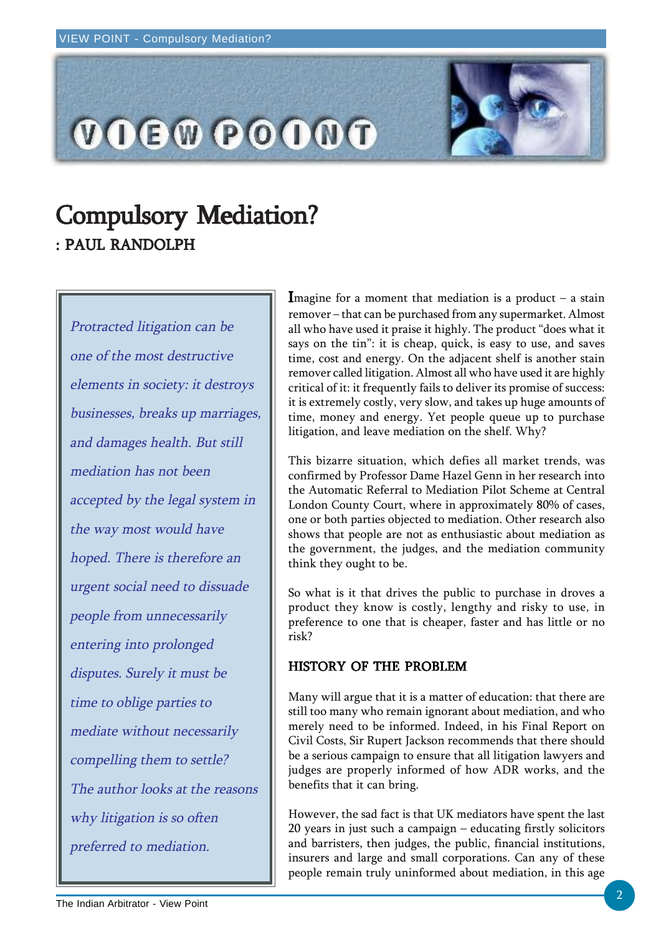

# **Compulsory Mediation?** : PAUL RANDOLPH

Protracted litigation can be one of the most destructive elements in society: it destroys businesses, breaks up marriages, and damages health. But still mediation has not been accepted by the legal system in the way most would have hoped. There is therefore an urgent social need to dissuade people from unnecessarily entering into prolonged disputes. Surely it must be time to oblige parties to mediate without necessarily compelling them to settle? The author looks at the reasons why litigation is so often preferred to mediation.

Imagine for a moment that mediation is a product  $-$  a stain remover – that can be purchased from any supermarket. Almost all who have used it praise it highly. The product "does what it says on the tin": it is cheap, quick, is easy to use, and saves time, cost and energy. On the adjacent shelf is another stain remover called litigation. Almost all who have used it are highly critical of it: it frequently fails to deliver its promise of success: it is extremely costly, very slow, and takes up huge amounts of time, money and energy. Yet people queue up to purchase litigation, and leave mediation on the shelf. Why?

This bizarre situation, which defies all market trends, was confirmed by Professor Dame Hazel Genn in her research into the Automatic Referral to Mediation Pilot Scheme at Central London County Court, where in approximately 80% of cases, one or both parties objected to mediation. Other research also shows that people are not as enthusiastic about mediation as the government, the judges, and the mediation community think they ought to be.

So what is it that drives the public to purchase in droves a product they know is costly, lengthy and risky to use, in preference to one that is cheaper, faster and has little or no risk?

### HISTORY OF THE PROBLEM

Many will argue that it is a matter of education: that there are still too many who remain ignorant about mediation, and who merely need to be informed. Indeed, in his Final Report on Civil Costs, Sir Rupert Jackson recommends that there should be a serious campaign to ensure that all litigation lawyers and judges are properly informed of how ADR works, and the benefits that it can bring.

However, the sad fact is that UK mediators have spent the last 20 years in just such a campaign – educating firstly solicitors and barristers, then judges, the public, financial institutions, insurers and large and small corporations. Can any of these people remain truly uninformed about mediation, in this age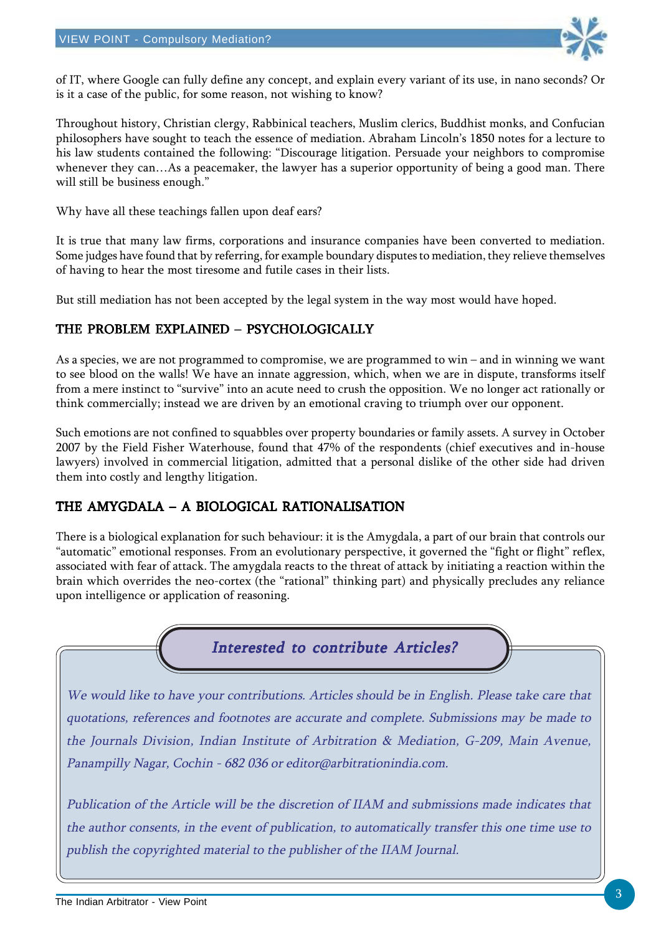

of IT, where Google can fully define any concept, and explain every variant of its use, in nano seconds? Or is it a case of the public, for some reason, not wishing to know?

Throughout history, Christian clergy, Rabbinical teachers, Muslim clerics, Buddhist monks, and Confucian philosophers have sought to teach the essence of mediation. Abraham Lincoln's 1850 notes for a lecture to his law students contained the following: "Discourage litigation. Persuade your neighbors to compromise whenever they can…As a peacemaker, the lawyer has a superior opportunity of being a good man. There will still be business enough."

Why have all these teachings fallen upon deaf ears?

It is true that many law firms, corporations and insurance companies have been converted to mediation. Some judges have found that by referring, for example boundary disputes to mediation, they relieve themselves of having to hear the most tiresome and futile cases in their lists.

But still mediation has not been accepted by the legal system in the way most would have hoped.

### THE PROBLEM EXPLAINED – PSYCHOLOGICALLY

As a species, we are not programmed to compromise, we are programmed to win – and in winning we want to see blood on the walls! We have an innate aggression, which, when we are in dispute, transforms itself from a mere instinct to "survive" into an acute need to crush the opposition. We no longer act rationally or think commercially; instead we are driven by an emotional craving to triumph over our opponent.

Such emotions are not confined to squabbles over property boundaries or family assets. A survey in October 2007 by the Field Fisher Waterhouse, found that 47% of the respondents (chief executives and in-house lawyers) involved in commercial litigation, admitted that a personal dislike of the other side had driven them into costly and lengthy litigation.

### THE AMYGDALA – A BIOLOGICAL RATIONALISATION

There is a biological explanation for such behaviour: it is the Amygdala, a part of our brain that controls our "automatic" emotional responses. From an evolutionary perspective, it governed the "fight or flight" reflex, associated with fear of attack. The amygdala reacts to the threat of attack by initiating a reaction within the brain which overrides the neo-cortex (the "rational" thinking part) and physically precludes any reliance upon intelligence or application of reasoning.



We would like to have your contributions. Articles should be in English. Please take care that quotations, references and footnotes are accurate and complete. Submissions may be made to the Journals Division, Indian Institute of Arbitration & Mediation, G-209, Main Avenue, Panampilly Nagar, Cochin - 682 036 or editor@arbitrationindia.com.

Publication of the Article will be the discretion of IIAM and submissions made indicates that the author consents, in the event of publication, to automatically transfer this one time use to publish the copyrighted material to the publisher of the IIAM Journal.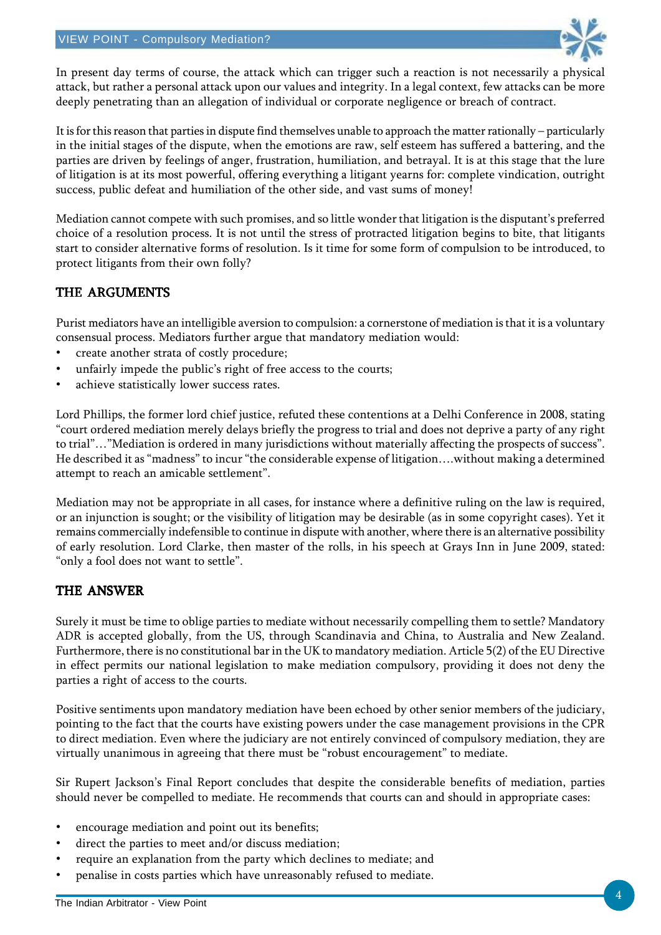

In present day terms of course, the attack which can trigger such a reaction is not necessarily a physical attack, but rather a personal attack upon our values and integrity. In a legal context, few attacks can be more deeply penetrating than an allegation of individual or corporate negligence or breach of contract.

It is for this reason that parties in dispute find themselves unable to approach the matter rationally – particularly in the initial stages of the dispute, when the emotions are raw, self esteem has suffered a battering, and the parties are driven by feelings of anger, frustration, humiliation, and betrayal. It is at this stage that the lure of litigation is at its most powerful, offering everything a litigant yearns for: complete vindication, outright success, public defeat and humiliation of the other side, and vast sums of money!

Mediation cannot compete with such promises, and so little wonder that litigation is the disputant's preferred choice of a resolution process. It is not until the stress of protracted litigation begins to bite, that litigants start to consider alternative forms of resolution. Is it time for some form of compulsion to be introduced, to protect litigants from their own folly?

### THE ARGUMENTS

Purist mediators have an intelligible aversion to compulsion: a cornerstone of mediation is that it is a voluntary consensual process. Mediators further argue that mandatory mediation would:

- create another strata of costly procedure;
- unfairly impede the public's right of free access to the courts;
- achieve statistically lower success rates.

Lord Phillips, the former lord chief justice, refuted these contentions at a Delhi Conference in 2008, stating "court ordered mediation merely delays briefly the progress to trial and does not deprive a party of any right to trial"…"Mediation is ordered in many jurisdictions without materially affecting the prospects of success". He described it as "madness" to incur "the considerable expense of litigation….without making a determined attempt to reach an amicable settlement".

Mediation may not be appropriate in all cases, for instance where a definitive ruling on the law is required, or an injunction is sought; or the visibility of litigation may be desirable (as in some copyright cases). Yet it remains commercially indefensible to continue in dispute with another, where there is an alternative possibility of early resolution. Lord Clarke, then master of the rolls, in his speech at Grays Inn in June 2009, stated: "only a fool does not want to settle".

### THE ANSWER

Surely it must be time to oblige parties to mediate without necessarily compelling them to settle? Mandatory ADR is accepted globally, from the US, through Scandinavia and China, to Australia and New Zealand. Furthermore, there is no constitutional bar in the UK to mandatory mediation. Article 5(2) of the EU Directive in effect permits our national legislation to make mediation compulsory, providing it does not deny the parties a right of access to the courts.

Positive sentiments upon mandatory mediation have been echoed by other senior members of the judiciary, pointing to the fact that the courts have existing powers under the case management provisions in the CPR to direct mediation. Even where the judiciary are not entirely convinced of compulsory mediation, they are virtually unanimous in agreeing that there must be "robust encouragement" to mediate.

Sir Rupert Jackson's Final Report concludes that despite the considerable benefits of mediation, parties should never be compelled to mediate. He recommends that courts can and should in appropriate cases:

- encourage mediation and point out its benefits;
- direct the parties to meet and/or discuss mediation;
- require an explanation from the party which declines to mediate; and
- penalise in costs parties which have unreasonably refused to mediate.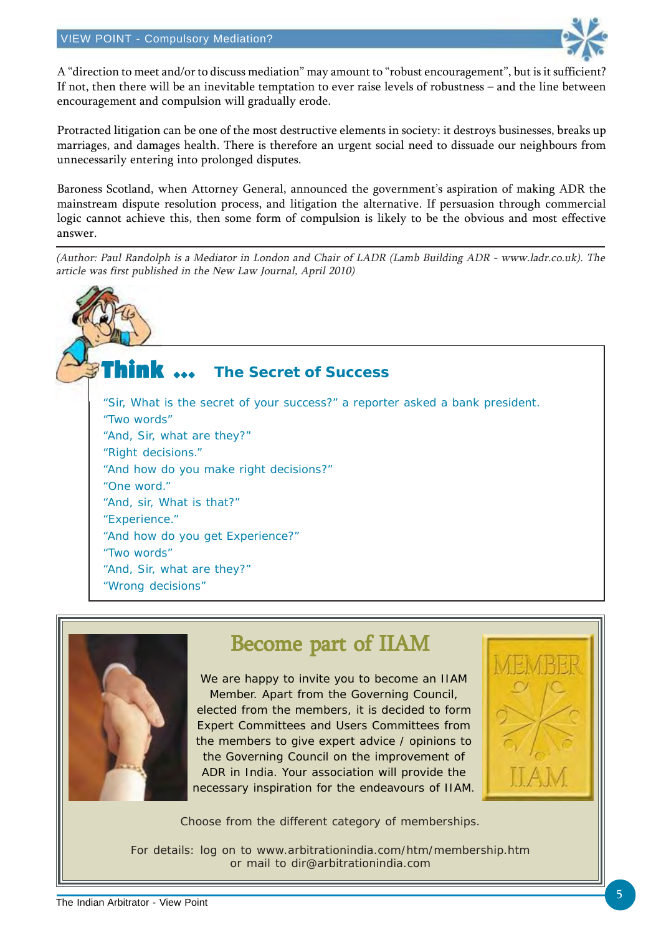

A "direction to meet and/or to discuss mediation" may amount to "robust encouragement", but is it sufficient? If not, then there will be an inevitable temptation to ever raise levels of robustness – and the line between encouragement and compulsion will gradually erode.

Protracted litigation can be one of the most destructive elements in society: it destroys businesses, breaks up marriages, and damages health. There is therefore an urgent social need to dissuade our neighbours from unnecessarily entering into prolonged disputes.

Baroness Scotland, when Attorney General, announced the government's aspiration of making ADR the mainstream dispute resolution process, and litigation the alternative. If persuasion through commercial logic cannot achieve this, then some form of compulsion is likely to be the obvious and most effective answer.

(Author: Paul Randolph is a Mediator in London and Chair of LADR (Lamb Building ADR - www.ladr.co.uk). The article was first published in the New Law Journal, April 2010)

Think  $\, \cdots \,$ "Sir, What is the secret of your success?" a reporter asked a bank president. "Two words" "And, Sir, what are they?" "Right decisions." "And how do you make right decisions?" "One word." "And, sir, What is that?" "Experience." "And how do you get Experience?" "Two words" "And, Sir, what are they?" "Wrong decisions" **The Secret of Success**



## Become part of IIAM

We are happy to invite you to become an IIAM Member. Apart from the Governing Council, elected from the members, it is decided to form Expert Committees and Users Committees from the members to give expert advice / opinions to the Governing Council on the improvement of ADR in India. Your association will provide the necessary inspiration for the endeavours of IIAM.



Choose from the different category of memberships.

For details: log on to www.arbitrationindia.com/htm/membership.htm or mail to dir@arbitrationindia.com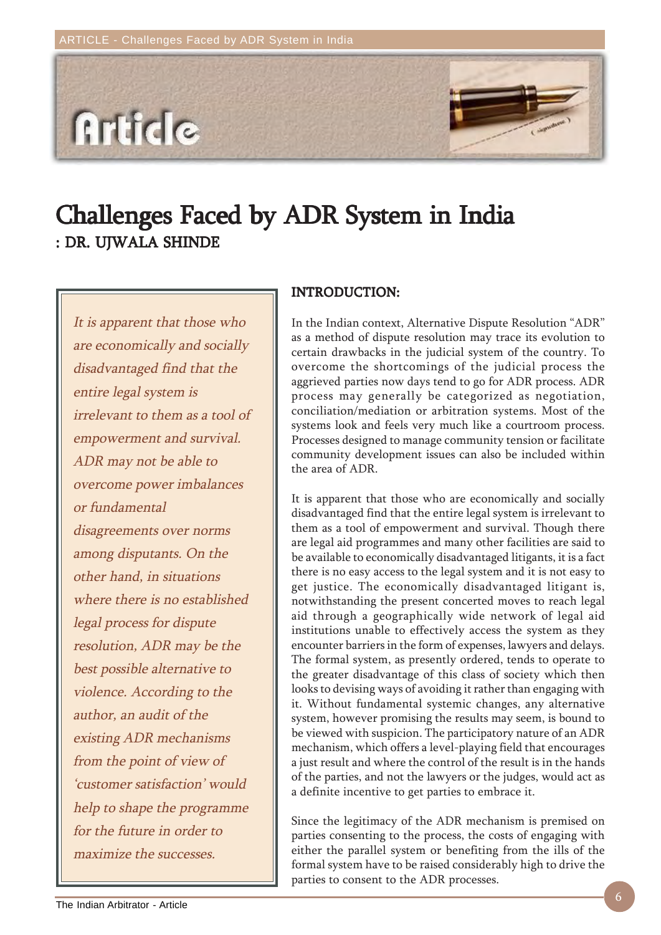

# Challenges Faced by ADR System in India Challenges Faced by ADR System in India : DR. UJWALA SHINDE

It is apparent that those who are economically and socially disadvantaged find that the entire legal system is irrelevant to them as a tool of empowerment and survival. ADR may not be able to overcome power imbalances or fundamental disagreements over norms among disputants. On the other hand, in situations where there is no established legal process for dispute resolution, ADR may be the best possible alternative to violence. According to the author, an audit of the existing ADR mechanisms from the point of view of 'customer satisfaction' would help to shape the programme for the future in order to maximize the successes.

### INTRODUCTION: INTRODUCTION:

In the Indian context, Alternative Dispute Resolution "ADR" as a method of dispute resolution may trace its evolution to certain drawbacks in the judicial system of the country. To overcome the shortcomings of the judicial process the aggrieved parties now days tend to go for ADR process. ADR process may generally be categorized as negotiation, conciliation/mediation or arbitration systems. Most of the systems look and feels very much like a courtroom process. Processes designed to manage community tension or facilitate community development issues can also be included within the area of ADR.

It is apparent that those who are economically and socially disadvantaged find that the entire legal system is irrelevant to them as a tool of empowerment and survival. Though there are legal aid programmes and many other facilities are said to be available to economically disadvantaged litigants, it is a fact there is no easy access to the legal system and it is not easy to get justice. The economically disadvantaged litigant is, notwithstanding the present concerted moves to reach legal aid through a geographically wide network of legal aid institutions unable to effectively access the system as they encounter barriers in the form of expenses, lawyers and delays. The formal system, as presently ordered, tends to operate to the greater disadvantage of this class of society which then looks to devising ways of avoiding it rather than engaging with it. Without fundamental systemic changes, any alternative system, however promising the results may seem, is bound to be viewed with suspicion. The participatory nature of an ADR mechanism, which offers a level-playing field that encourages a just result and where the control of the result is in the hands of the parties, and not the lawyers or the judges, would act as a definite incentive to get parties to embrace it.

Since the legitimacy of the ADR mechanism is premised on parties consenting to the process, the costs of engaging with either the parallel system or benefiting from the ills of the formal system have to be raised considerably high to drive the parties to consent to the ADR processes.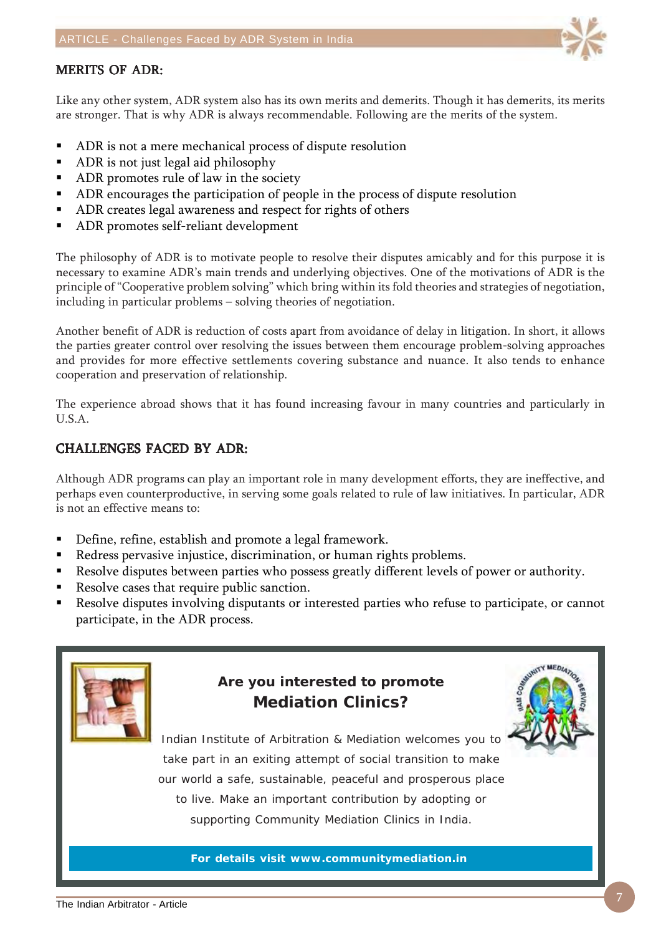### **MERITS OF ADR:**

Like any other system, ADR system also has its own merits and demerits. Though it has demerits, its merits are stronger. That is why ADR is always recommendable. Following are the merits of the system.

- ADR is not a mere mechanical process of dispute resolution
- ADR is not just legal aid philosophy
- ADR promotes rule of law in the society
- ADR encourages the participation of people in the process of dispute resolution
- ADR creates legal awareness and respect for rights of others
- ADR promotes self-reliant development

The philosophy of ADR is to motivate people to resolve their disputes amicably and for this purpose it is necessary to examine ADR's main trends and underlying objectives. One of the motivations of ADR is the principle of "Cooperative problem solving" which bring within its fold theories and strategies of negotiation, including in particular problems – solving theories of negotiation.

Another benefit of ADR is reduction of costs apart from avoidance of delay in litigation. In short, it allows the parties greater control over resolving the issues between them encourage problem-solving approaches and provides for more effective settlements covering substance and nuance. It also tends to enhance cooperation and preservation of relationship.

The experience abroad shows that it has found increasing favour in many countries and particularly in U.S.A.

### CHALLENGES FACED BY ADR:

Although ADR programs can play an important role in many development efforts, they are ineffective, and perhaps even counterproductive, in serving some goals related to rule of law initiatives. In particular, ADR is not an effective means to:

- Define, refine, establish and promote a legal framework.
- Redress pervasive injustice, discrimination, or human rights problems.
- Resolve disputes between parties who possess greatly different levels of power or authority.
- Resolve cases that require public sanction.
- Resolve disputes involving disputants or interested parties who refuse to participate, or cannot participate, in the ADR process.



## **Are you interested to promote Mediation Clinics?**



Indian Institute of Arbitration & Mediation welcomes you to take part in an exiting attempt of social transition to make our world a safe, sustainable, peaceful and prosperous place to live. Make an important contribution by adopting or supporting Community Mediation Clinics in India.

**For details visit www.communitymediation.in**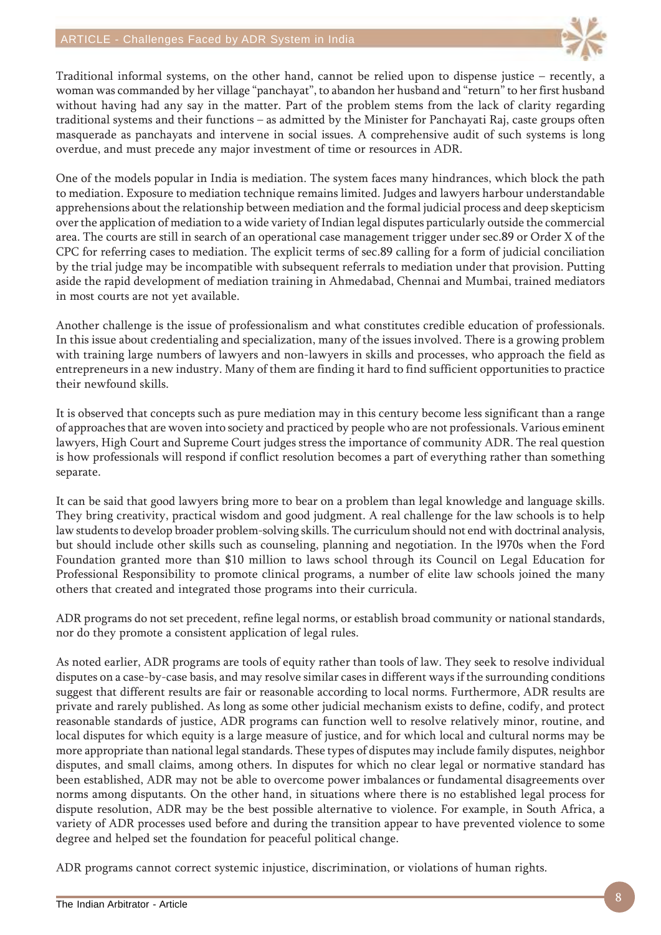

Traditional informal systems, on the other hand, cannot be relied upon to dispense justice – recently, a woman was commanded by her village "panchayat", to abandon her husband and "return" to her first husband without having had any say in the matter. Part of the problem stems from the lack of clarity regarding traditional systems and their functions – as admitted by the Minister for Panchayati Raj, caste groups often masquerade as panchayats and intervene in social issues. A comprehensive audit of such systems is long overdue, and must precede any major investment of time or resources in ADR.

One of the models popular in India is mediation. The system faces many hindrances, which block the path to mediation. Exposure to mediation technique remains limited. Judges and lawyers harbour understandable apprehensions about the relationship between mediation and the formal judicial process and deep skepticism over the application of mediation to a wide variety of Indian legal disputes particularly outside the commercial area. The courts are still in search of an operational case management trigger under sec.89 or Order X of the CPC for referring cases to mediation. The explicit terms of sec.89 calling for a form of judicial conciliation by the trial judge may be incompatible with subsequent referrals to mediation under that provision. Putting aside the rapid development of mediation training in Ahmedabad, Chennai and Mumbai, trained mediators in most courts are not yet available.

Another challenge is the issue of professionalism and what constitutes credible education of professionals. In this issue about credentialing and specialization, many of the issues involved. There is a growing problem with training large numbers of lawyers and non-lawyers in skills and processes, who approach the field as entrepreneurs in a new industry. Many of them are finding it hard to find sufficient opportunities to practice their newfound skills.

It is observed that concepts such as pure mediation may in this century become less significant than a range of approaches that are woven into society and practiced by people who are not professionals. Various eminent lawyers, High Court and Supreme Court judges stress the importance of community ADR. The real question is how professionals will respond if conflict resolution becomes a part of everything rather than something separate.

It can be said that good lawyers bring more to bear on a problem than legal knowledge and language skills. They bring creativity, practical wisdom and good judgment. A real challenge for the law schools is to help law students to develop broader problem-solving skills. The curriculum should not end with doctrinal analysis, but should include other skills such as counseling, planning and negotiation. In the l970s when the Ford Foundation granted more than \$10 million to laws school through its Council on Legal Education for Professional Responsibility to promote clinical programs, a number of elite law schools joined the many others that created and integrated those programs into their curricula.

ADR programs do not set precedent, refine legal norms, or establish broad community or national standards, nor do they promote a consistent application of legal rules.

As noted earlier, ADR programs are tools of equity rather than tools of law. They seek to resolve individual disputes on a case-by-case basis, and may resolve similar cases in different ways if the surrounding conditions suggest that different results are fair or reasonable according to local norms. Furthermore, ADR results are private and rarely published. As long as some other judicial mechanism exists to define, codify, and protect reasonable standards of justice, ADR programs can function well to resolve relatively minor, routine, and local disputes for which equity is a large measure of justice, and for which local and cultural norms may be more appropriate than national legal standards. These types of disputes may include family disputes, neighbor disputes, and small claims, among others. In disputes for which no clear legal or normative standard has been established, ADR may not be able to overcome power imbalances or fundamental disagreements over norms among disputants. On the other hand, in situations where there is no established legal process for dispute resolution, ADR may be the best possible alternative to violence. For example, in South Africa, a variety of ADR processes used before and during the transition appear to have prevented violence to some degree and helped set the foundation for peaceful political change.

ADR programs cannot correct systemic injustice, discrimination, or violations of human rights.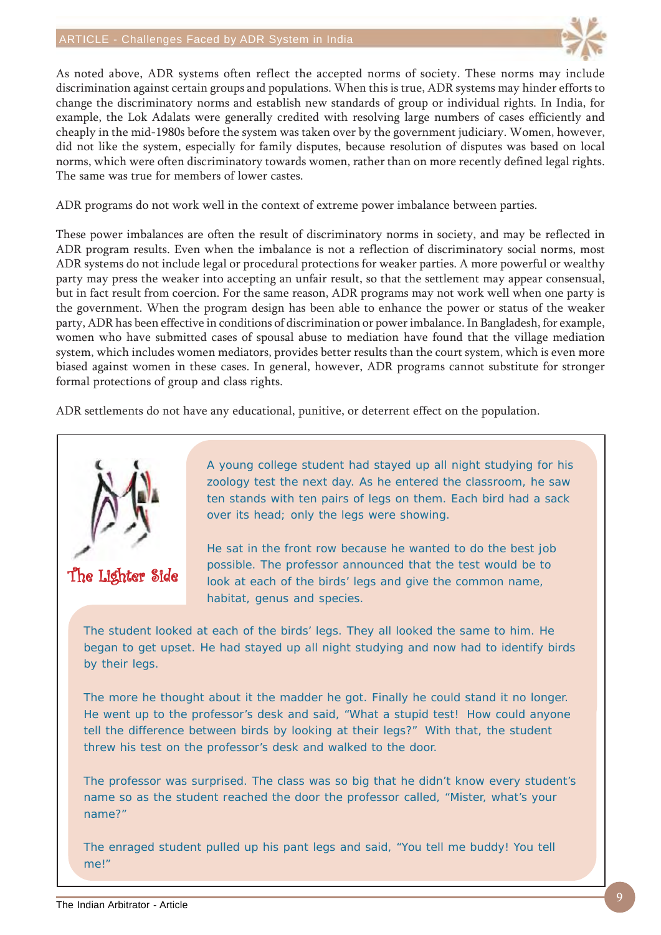### ARTICLE - Challenges Faced by ADR System in India



As noted above, ADR systems often reflect the accepted norms of society. These norms may include discrimination against certain groups and populations. When this is true, ADR systems may hinder efforts to change the discriminatory norms and establish new standards of group or individual rights. In India, for example, the Lok Adalats were generally credited with resolving large numbers of cases efficiently and cheaply in the mid-1980s before the system was taken over by the government judiciary. Women, however, did not like the system, especially for family disputes, because resolution of disputes was based on local norms, which were often discriminatory towards women, rather than on more recently defined legal rights. The same was true for members of lower castes.

ADR programs do not work well in the context of extreme power imbalance between parties.

These power imbalances are often the result of discriminatory norms in society, and may be reflected in ADR program results. Even when the imbalance is not a reflection of discriminatory social norms, most ADR systems do not include legal or procedural protections for weaker parties. A more powerful or wealthy party may press the weaker into accepting an unfair result, so that the settlement may appear consensual, but in fact result from coercion. For the same reason, ADR programs may not work well when one party is the government. When the program design has been able to enhance the power or status of the weaker party, ADR has been effective in conditions of discrimination or power imbalance. In Bangladesh, for example, women who have submitted cases of spousal abuse to mediation have found that the village mediation system, which includes women mediators, provides better results than the court system, which is even more biased against women in these cases. In general, however, ADR programs cannot substitute for stronger formal protections of group and class rights.

ADR settlements do not have any educational, punitive, or deterrent effect on the population.



The Lighter Side

A young college student had stayed up all night studying for his zoology test the next day. As he entered the classroom, he saw ten stands with ten pairs of legs on them. Each bird had a sack over its head; only the legs were showing.

He sat in the front row because he wanted to do the best job possible. The professor announced that the test would be to look at each of the birds' legs and give the common name, habitat, genus and species.

The student looked at each of the birds' legs. They all looked the same to him. He began to get upset. He had stayed up all night studying and now had to identify birds by their legs.

The more he thought about it the madder he got. Finally he could stand it no longer. He went up to the professor's desk and said, "What a stupid test! How could anyone tell the difference between birds by looking at their legs?" With that, the student threw his test on the professor's desk and walked to the door.

The professor was surprised. The class was so big that he didn't know every student's name so as the student reached the door the professor called, "Mister, what's your name?"

The enraged student pulled up his pant legs and said, "You tell me buddy! You tell me!"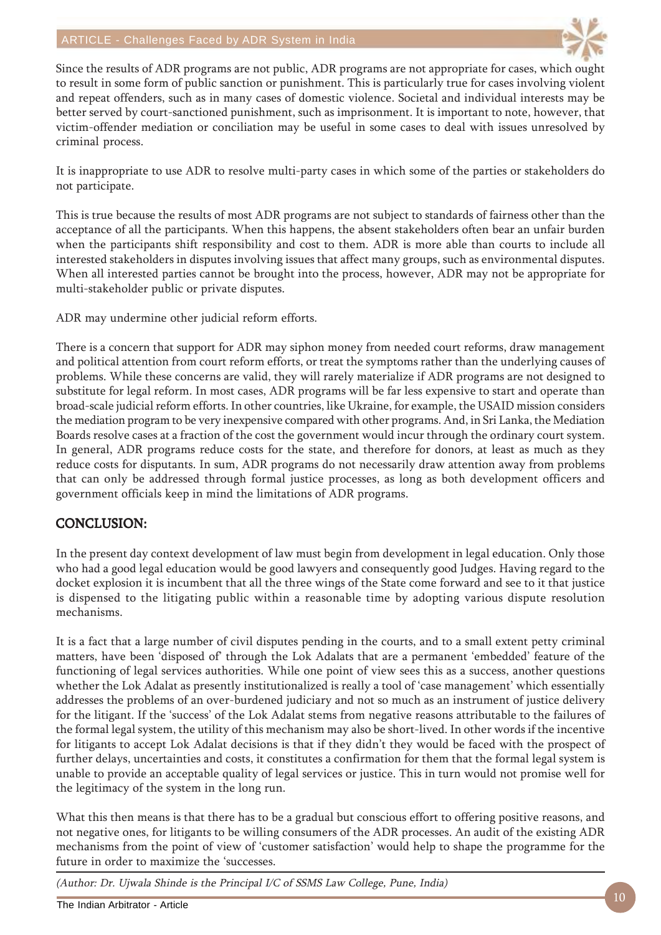

Since the results of ADR programs are not public, ADR programs are not appropriate for cases, which ought to result in some form of public sanction or punishment. This is particularly true for cases involving violent and repeat offenders, such as in many cases of domestic violence. Societal and individual interests may be better served by court-sanctioned punishment, such as imprisonment. It is important to note, however, that victim-offender mediation or conciliation may be useful in some cases to deal with issues unresolved by criminal process.

It is inappropriate to use ADR to resolve multi-party cases in which some of the parties or stakeholders do not participate.

This is true because the results of most ADR programs are not subject to standards of fairness other than the acceptance of all the participants. When this happens, the absent stakeholders often bear an unfair burden when the participants shift responsibility and cost to them. ADR is more able than courts to include all interested stakeholders in disputes involving issues that affect many groups, such as environmental disputes. When all interested parties cannot be brought into the process, however, ADR may not be appropriate for multi-stakeholder public or private disputes.

ADR may undermine other judicial reform efforts.

There is a concern that support for ADR may siphon money from needed court reforms, draw management and political attention from court reform efforts, or treat the symptoms rather than the underlying causes of problems. While these concerns are valid, they will rarely materialize if ADR programs are not designed to substitute for legal reform. In most cases, ADR programs will be far less expensive to start and operate than broad-scale judicial reform efforts. In other countries, like Ukraine, for example, the USAID mission considers the mediation program to be very inexpensive compared with other programs. And, in Sri Lanka, the Mediation Boards resolve cases at a fraction of the cost the government would incur through the ordinary court system. In general, ADR programs reduce costs for the state, and therefore for donors, at least as much as they reduce costs for disputants. In sum, ADR programs do not necessarily draw attention away from problems that can only be addressed through formal justice processes, as long as both development officers and government officials keep in mind the limitations of ADR programs.

### CONCLUSION:

In the present day context development of law must begin from development in legal education. Only those who had a good legal education would be good lawyers and consequently good Judges. Having regard to the docket explosion it is incumbent that all the three wings of the State come forward and see to it that justice is dispensed to the litigating public within a reasonable time by adopting various dispute resolution mechanisms.

It is a fact that a large number of civil disputes pending in the courts, and to a small extent petty criminal matters, have been 'disposed of' through the Lok Adalats that are a permanent 'embedded' feature of the functioning of legal services authorities. While one point of view sees this as a success, another questions whether the Lok Adalat as presently institutionalized is really a tool of 'case management' which essentially addresses the problems of an over-burdened judiciary and not so much as an instrument of justice delivery for the litigant. If the 'success' of the Lok Adalat stems from negative reasons attributable to the failures of the formal legal system, the utility of this mechanism may also be short-lived. In other words if the incentive for litigants to accept Lok Adalat decisions is that if they didn't they would be faced with the prospect of further delays, uncertainties and costs, it constitutes a confirmation for them that the formal legal system is unable to provide an acceptable quality of legal services or justice. This in turn would not promise well for the legitimacy of the system in the long run.

What this then means is that there has to be a gradual but conscious effort to offering positive reasons, and not negative ones, for litigants to be willing consumers of the ADR processes. An audit of the existing ADR mechanisms from the point of view of 'customer satisfaction' would help to shape the programme for the future in order to maximize the 'successes.

(Author: Dr. Ujwala Shinde is the Principal I/C of SSMS Law College, Pune, India)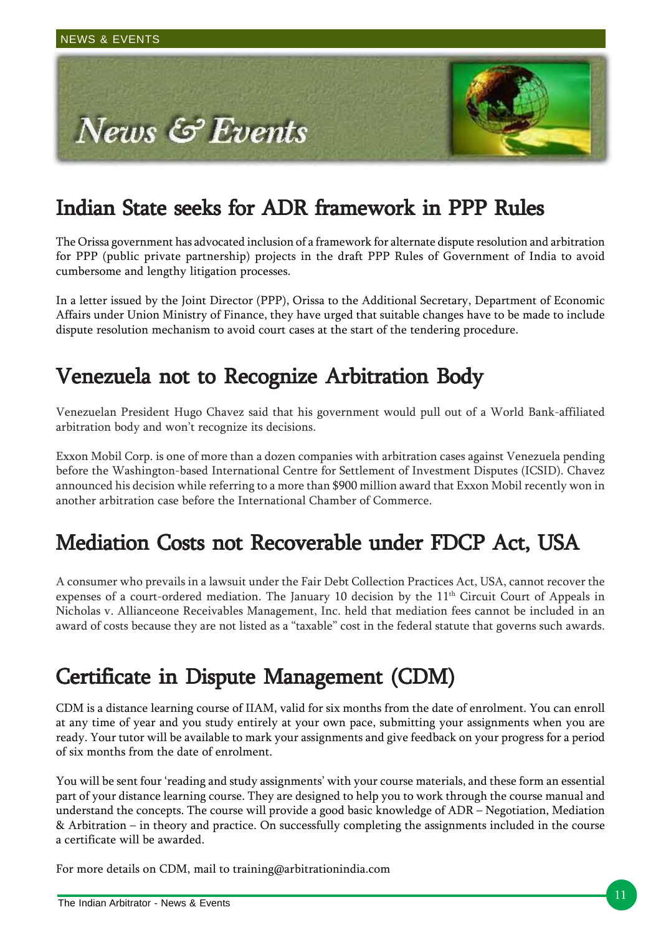

## Indian State seeks for ADR framework in PPP Rules

The Orissa government has advocated inclusion of a framework for alternate dispute resolution and arbitration for PPP (public private partnership) projects in the draft PPP Rules of Government of India to avoid cumbersome and lengthy litigation processes.

In a letter issued by the Joint Director (PPP), Orissa to the Additional Secretary, Department of Economic Affairs under Union Ministry of Finance, they have urged that suitable changes have to be made to include dispute resolution mechanism to avoid court cases at the start of the tendering procedure.

## Venezuela not to Recognize Arbitration Body

Venezuelan President Hugo Chavez said that his government would pull out of a World Bank-affiliated arbitration body and won't recognize its decisions.

Exxon Mobil Corp. is one of more than a dozen companies with arbitration cases against Venezuela pending before the Washington-based International Centre for Settlement of Investment Disputes (ICSID). Chavez announced his decision while referring to a more than \$900 million award that Exxon Mobil recently won in another arbitration case before the International Chamber of Commerce.

## Mediation Costs not Recoverable under FDCP Act, USA

A consumer who prevails in a lawsuit under the Fair Debt Collection Practices Act, USA, cannot recover the expenses of a court-ordered mediation. The January 10 decision by the  $11<sup>th</sup>$  Circuit Court of Appeals in Nicholas v. Allianceone Receivables Management, Inc. held that mediation fees cannot be included in an award of costs because they are not listed as a "taxable" cost in the federal statute that governs such awards.

## Certificate in Dispute Management (CDM)

CDM is a distance learning course of IIAM, valid for six months from the date of enrolment. You can enroll at any time of year and you study entirely at your own pace, submitting your assignments when you are ready. Your tutor will be available to mark your assignments and give feedback on your progress for a period of six months from the date of enrolment.

You will be sent four 'reading and study assignments' with your course materials, and these form an essential part of your distance learning course. They are designed to help you to work through the course manual and understand the concepts. The course will provide a good basic knowledge of ADR – Negotiation, Mediation & Arbitration – in theory and practice. On successfully completing the assignments included in the course a certificate will be awarded.

For more details on CDM, mail to training@arbitrationindia.com